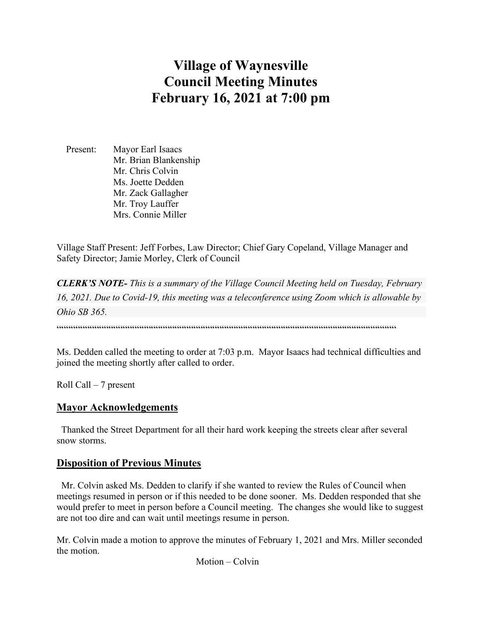# **Village of Waynesville Council Meeting Minutes February 16, 2021 at 7:00 pm**

 Present: Mayor Earl Isaacs Mr. Brian Blankenship Mr. Chris Colvin Ms. Joette Dedden Mr. Zack Gallagher Mr. Troy Lauffer Mrs. Connie Miller

Village Staff Present: Jeff Forbes, Law Director; Chief Gary Copeland, Village Manager and Safety Director; Jamie Morley, Clerk of Council

*CLERK'S NOTE- This is a summary of the Village Council Meeting held on Tuesday, February 16, 2021. Due to Covid-19, this meeting was a teleconference using Zoom which is allowable by Ohio SB 365.* 

 $\cdots$ 

Ms. Dedden called the meeting to order at 7:03 p.m. Mayor Isaacs had technical difficulties and joined the meeting shortly after called to order.

Roll Call – 7 present

#### **Mayor Acknowledgements**

 Thanked the Street Department for all their hard work keeping the streets clear after several snow storms.

#### **Disposition of Previous Minutes**

 Mr. Colvin asked Ms. Dedden to clarify if she wanted to review the Rules of Council when meetings resumed in person or if this needed to be done sooner. Ms. Dedden responded that she would prefer to meet in person before a Council meeting. The changes she would like to suggest are not too dire and can wait until meetings resume in person.

Mr. Colvin made a motion to approve the minutes of February 1, 2021 and Mrs. Miller seconded the motion.

Motion – Colvin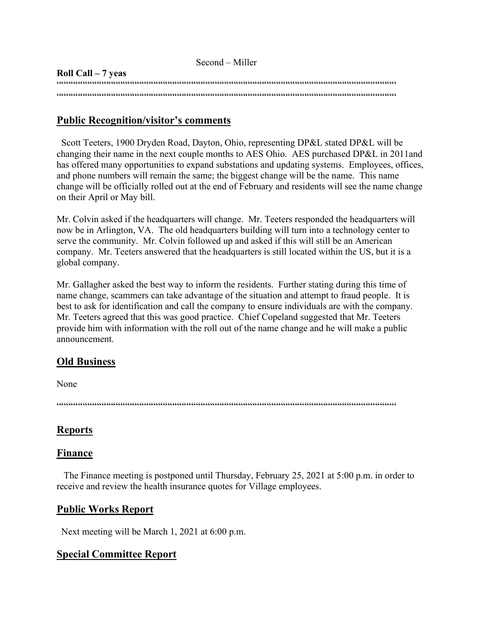| Second – Miller     |
|---------------------|
| Roll Call $-7$ yeas |
|                     |
|                     |

## **Public Recognition/visitor's comments**

 Scott Teeters, 1900 Dryden Road, Dayton, Ohio, representing DP&L stated DP&L will be changing their name in the next couple months to AES Ohio. AES purchased DP&L in 2011and has offered many opportunities to expand substations and updating systems. Employees, offices, and phone numbers will remain the same; the biggest change will be the name. This name change will be officially rolled out at the end of February and residents will see the name change on their April or May bill.

Mr. Colvin asked if the headquarters will change. Mr. Teeters responded the headquarters will now be in Arlington, VA. The old headquarters building will turn into a technology center to serve the community. Mr. Colvin followed up and asked if this will still be an American company. Mr. Teeters answered that the headquarters is still located within the US, but it is a global company.

Mr. Gallagher asked the best way to inform the residents. Further stating during this time of name change, scammers can take advantage of the situation and attempt to fraud people. It is best to ask for identification and call the company to ensure individuals are with the company. Mr. Teeters agreed that this was good practice. Chief Copeland suggested that Mr. Teeters provide him with information with the roll out of the name change and he will make a public announcement.

# **Old Business**

None

 $\label{prop:main} \hspace{1.5cm} \hspace{1.5cm} \hspace{1.5cm} \hspace{1.5cm} \hspace{1.5cm} \hspace{1.5cm} \hspace{1.5cm} \hspace{1.5cm} \hspace{1.5cm} \hspace{1.5cm} \hspace{1.5cm} \hspace{1.5cm} \hspace{1.5cm} \hspace{1.5cm} \hspace{1.5cm} \hspace{1.5cm} \hspace{1.5cm} \hspace{1.5cm} \hspace{1.5cm} \hspace{1.5cm} \hspace{1.5cm} \hspace{1.5cm} \hspace{1.5cm} \hspace{1.$ 

## **Reports**

#### **Finance**

 The Finance meeting is postponed until Thursday, February 25, 2021 at 5:00 p.m. in order to receive and review the health insurance quotes for Village employees.

## **Public Works Report**

Next meeting will be March 1, 2021 at 6:00 p.m.

## **Special Committee Report**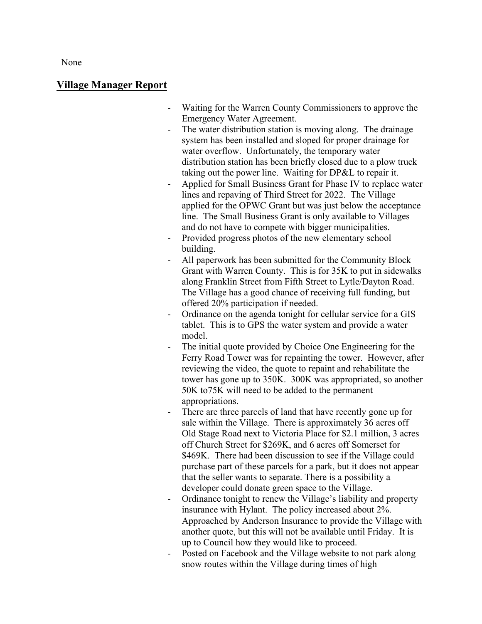None

#### **Village Manager Report**

- Waiting for the Warren County Commissioners to approve the Emergency Water Agreement.
- The water distribution station is moving along. The drainage system has been installed and sloped for proper drainage for water overflow. Unfortunately, the temporary water distribution station has been briefly closed due to a plow truck taking out the power line. Waiting for DP&L to repair it.
- Applied for Small Business Grant for Phase IV to replace water lines and repaving of Third Street for 2022. The Village applied for the OPWC Grant but was just below the acceptance line. The Small Business Grant is only available to Villages and do not have to compete with bigger municipalities.
- Provided progress photos of the new elementary school building.
- All paperwork has been submitted for the Community Block Grant with Warren County. This is for 35K to put in sidewalks along Franklin Street from Fifth Street to Lytle/Dayton Road. The Village has a good chance of receiving full funding, but offered 20% participation if needed.
- Ordinance on the agenda tonight for cellular service for a GIS tablet. This is to GPS the water system and provide a water model.
- The initial quote provided by Choice One Engineering for the Ferry Road Tower was for repainting the tower. However, after reviewing the video, the quote to repaint and rehabilitate the tower has gone up to 350K. 300K was appropriated, so another 50K to75K will need to be added to the permanent appropriations.
- There are three parcels of land that have recently gone up for sale within the Village. There is approximately 36 acres off Old Stage Road next to Victoria Place for \$2.1 million, 3 acres off Church Street for \$269K, and 6 acres off Somerset for \$469K. There had been discussion to see if the Village could purchase part of these parcels for a park, but it does not appear that the seller wants to separate. There is a possibility a developer could donate green space to the Village.
- Ordinance tonight to renew the Village's liability and property insurance with Hylant. The policy increased about 2%. Approached by Anderson Insurance to provide the Village with another quote, but this will not be available until Friday. It is up to Council how they would like to proceed.
- Posted on Facebook and the Village website to not park along snow routes within the Village during times of high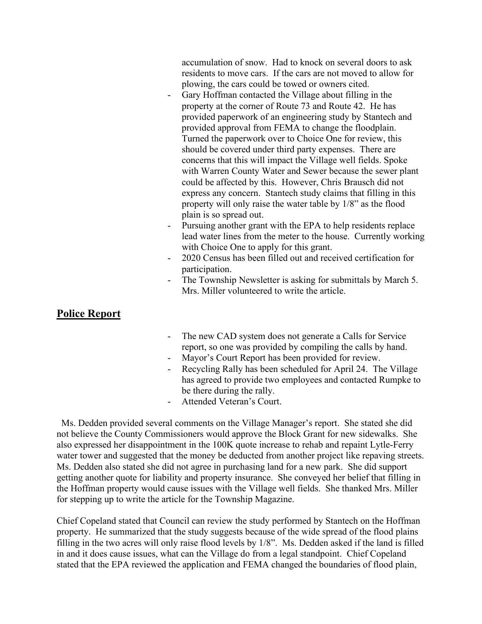accumulation of snow. Had to knock on several doors to ask residents to move cars. If the cars are not moved to allow for plowing, the cars could be towed or owners cited.

- Gary Hoffman contacted the Village about filling in the property at the corner of Route 73 and Route 42. He has provided paperwork of an engineering study by Stantech and provided approval from FEMA to change the floodplain. Turned the paperwork over to Choice One for review, this should be covered under third party expenses. There are concerns that this will impact the Village well fields. Spoke with Warren County Water and Sewer because the sewer plant could be affected by this. However, Chris Brausch did not express any concern. Stantech study claims that filling in this property will only raise the water table by 1/8" as the flood plain is so spread out.
- Pursuing another grant with the EPA to help residents replace lead water lines from the meter to the house. Currently working with Choice One to apply for this grant.
- 2020 Census has been filled out and received certification for participation.
- The Township Newsletter is asking for submittals by March 5. Mrs. Miller volunteered to write the article.

## **Police Report**

- The new CAD system does not generate a Calls for Service report, so one was provided by compiling the calls by hand.
- Mayor's Court Report has been provided for review.
- Recycling Rally has been scheduled for April 24. The Village has agreed to provide two employees and contacted Rumpke to be there during the rally.
- Attended Veteran's Court.

Ms. Dedden provided several comments on the Village Manager's report. She stated she did not believe the County Commissioners would approve the Block Grant for new sidewalks. She also expressed her disappointment in the 100K quote increase to rehab and repaint Lytle-Ferry water tower and suggested that the money be deducted from another project like repaving streets. Ms. Dedden also stated she did not agree in purchasing land for a new park. She did support getting another quote for liability and property insurance. She conveyed her belief that filling in the Hoffman property would cause issues with the Village well fields. She thanked Mrs. Miller for stepping up to write the article for the Township Magazine.

Chief Copeland stated that Council can review the study performed by Stantech on the Hoffman property. He summarized that the study suggests because of the wide spread of the flood plains filling in the two acres will only raise flood levels by 1/8". Ms. Dedden asked if the land is filled in and it does cause issues, what can the Village do from a legal standpoint. Chief Copeland stated that the EPA reviewed the application and FEMA changed the boundaries of flood plain,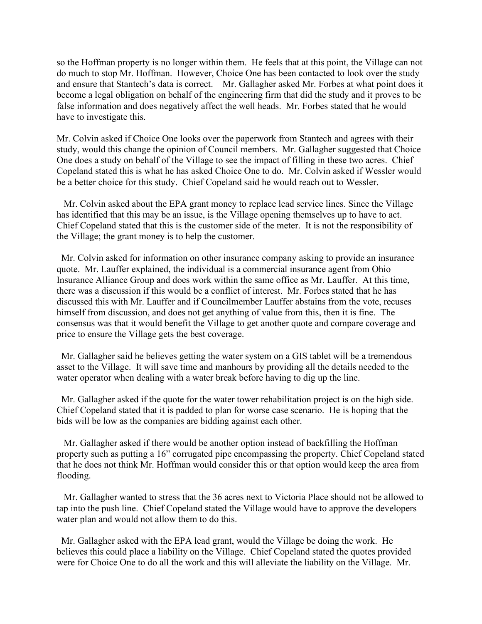so the Hoffman property is no longer within them. He feels that at this point, the Village can not do much to stop Mr. Hoffman. However, Choice One has been contacted to look over the study and ensure that Stantech's data is correct. Mr. Gallagher asked Mr. Forbes at what point does it become a legal obligation on behalf of the engineering firm that did the study and it proves to be false information and does negatively affect the well heads. Mr. Forbes stated that he would have to investigate this.

Mr. Colvin asked if Choice One looks over the paperwork from Stantech and agrees with their study, would this change the opinion of Council members. Mr. Gallagher suggested that Choice One does a study on behalf of the Village to see the impact of filling in these two acres. Chief Copeland stated this is what he has asked Choice One to do. Mr. Colvin asked if Wessler would be a better choice for this study. Chief Copeland said he would reach out to Wessler.

 Mr. Colvin asked about the EPA grant money to replace lead service lines. Since the Village has identified that this may be an issue, is the Village opening themselves up to have to act. Chief Copeland stated that this is the customer side of the meter. It is not the responsibility of the Village; the grant money is to help the customer.

 Mr. Colvin asked for information on other insurance company asking to provide an insurance quote. Mr. Lauffer explained, the individual is a commercial insurance agent from Ohio Insurance Alliance Group and does work within the same office as Mr. Lauffer. At this time, there was a discussion if this would be a conflict of interest. Mr. Forbes stated that he has discussed this with Mr. Lauffer and if Councilmember Lauffer abstains from the vote, recuses himself from discussion, and does not get anything of value from this, then it is fine. The consensus was that it would benefit the Village to get another quote and compare coverage and price to ensure the Village gets the best coverage.

 Mr. Gallagher said he believes getting the water system on a GIS tablet will be a tremendous asset to the Village. It will save time and manhours by providing all the details needed to the water operator when dealing with a water break before having to dig up the line.

 Mr. Gallagher asked if the quote for the water tower rehabilitation project is on the high side. Chief Copeland stated that it is padded to plan for worse case scenario. He is hoping that the bids will be low as the companies are bidding against each other.

 Mr. Gallagher asked if there would be another option instead of backfilling the Hoffman property such as putting a 16" corrugated pipe encompassing the property. Chief Copeland stated that he does not think Mr. Hoffman would consider this or that option would keep the area from flooding.

 Mr. Gallagher wanted to stress that the 36 acres next to Victoria Place should not be allowed to tap into the push line. Chief Copeland stated the Village would have to approve the developers water plan and would not allow them to do this.

 Mr. Gallagher asked with the EPA lead grant, would the Village be doing the work. He believes this could place a liability on the Village. Chief Copeland stated the quotes provided were for Choice One to do all the work and this will alleviate the liability on the Village. Mr.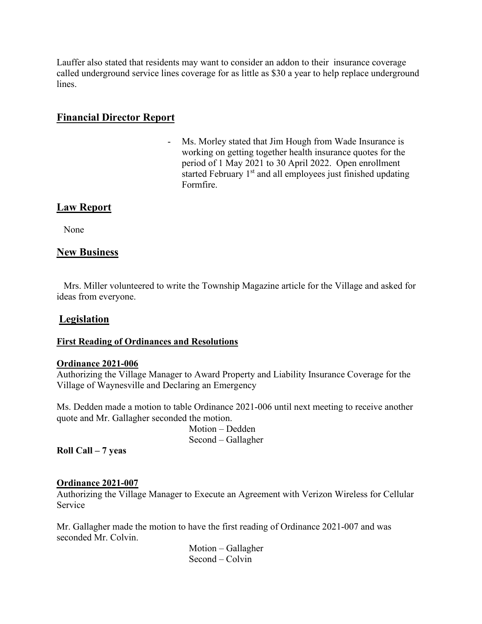Lauffer also stated that residents may want to consider an addon to their insurance coverage called underground service lines coverage for as little as \$30 a year to help replace underground lines.

## **Financial Director Report**

Ms. Morley stated that Jim Hough from Wade Insurance is working on getting together health insurance quotes for the period of 1 May 2021 to 30 April 2022. Open enrollment started February 1<sup>st</sup> and all employees just finished updating Formfire.

## **Law Report**

None

## **New Business**

 Mrs. Miller volunteered to write the Township Magazine article for the Village and asked for ideas from everyone.

#### **Legislation**

#### **First Reading of Ordinances and Resolutions**

#### **Ordinance 2021-006**

Authorizing the Village Manager to Award Property and Liability Insurance Coverage for the Village of Waynesville and Declaring an Emergency

Ms. Dedden made a motion to table Ordinance 2021-006 until next meeting to receive another quote and Mr. Gallagher seconded the motion.

> Motion – Dedden Second – Gallagher

**Roll Call – 7 yeas**

#### **Ordinance 2021-007**

Authorizing the Village Manager to Execute an Agreement with Verizon Wireless for Cellular Service

Mr. Gallagher made the motion to have the first reading of Ordinance 2021-007 and was seconded Mr. Colvin.

> Motion – Gallagher Second – Colvin